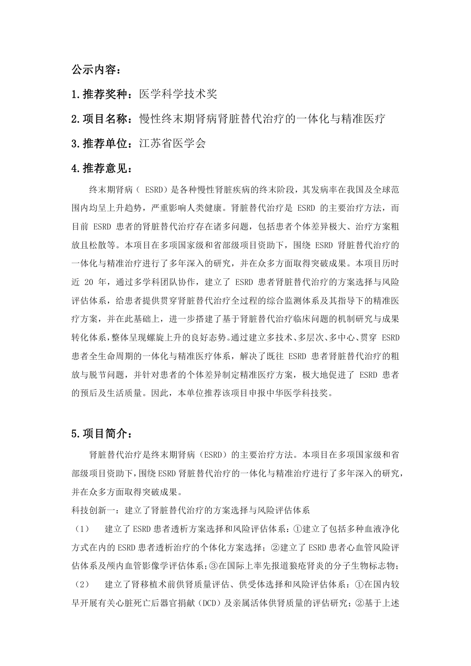#### 公示内容:

- 1. 推荐奖种: 医学科学技术奖
- 2.项目名称:慢性终末期肾病肾脏替代治疗的一体化与精准医疗
- 3.推荐单位:江苏省医学会

#### 4.推荐意见:

终末期肾病( ESRD)是各种慢性肾脏疾病的终末阶段,其发病率在我国及全球范 围内均呈上升趋势,严重影响人类健康。肾脏替代治疗是 ESRD 的主要治疗方法,而 目前 ESRD 患者的肾脏替代治疗存在诸多问题,包括患者个体差异极大、治疗方案粗 放且松散等。本项目在多项国家级和省部级项目资助下,围绕 ESRD 肾脏替代治疗的 一体化与精准治疗进行了多年深入的研究,并在众多方面取得突破成果。本项目历时 近 20 年,通过多学科团队协作,建立了 ESRD 患者肾脏替代治疗的方案选择与风险 评估体系,给患者提供贯穿肾脏替代治疗全过程的综合监测体系及其指导下的精准医 疗方案,并在此基础上,进一步搭建了基于肾脏替代治疗临床问题的机制研究与成果 转化体系,整体呈现螺旋上升的良好态势。通过建立多技术、多层次、多中心、贯穿 ESRD 患者全生命周期的一体化与精准医疗体系,解决了既往 ESRD 患者肾脏替代治疗的粗 放与脱节问题,并针对患者的个体差异制定精准医疗方案,极大地促进了 ESRD 患者 的预后及生活质量。因此,本单位推荐该项目申报中华医学科技奖。

#### 5.项目简介:

肾脏替代治疗是终末期肾病(ESRD)的主要治疗方法。本项目在多项国家级和省 部级项目资助下,围绕 ESRD 肾脏替代治疗的一体化与精准治疗进行了多年深入的研究, 并在众多方面取得突破成果。

科技创新一:建立了肾脏替代治疗的方案选择与风险评估体系

(1) 建立了 ESRD 患者透析方案选择和风险评估体系:①建立了包括多种血液净化 方式在内的 ESRD 患者透析治疗的个体化方案选择;②建立了 ESRD 患者心血管风险评 估体系及颅内血管影像学评估体系;③在国际上率先报道狼疮肾炎的分子生物标志物;

(2) 建立了肾移植术前供肾质量评估、供受体选择和风险评估体系:①在国内较 早开展有关心脏死亡后器官捐献(DCD)及亲属活体供肾质量的评估研究;②基于上述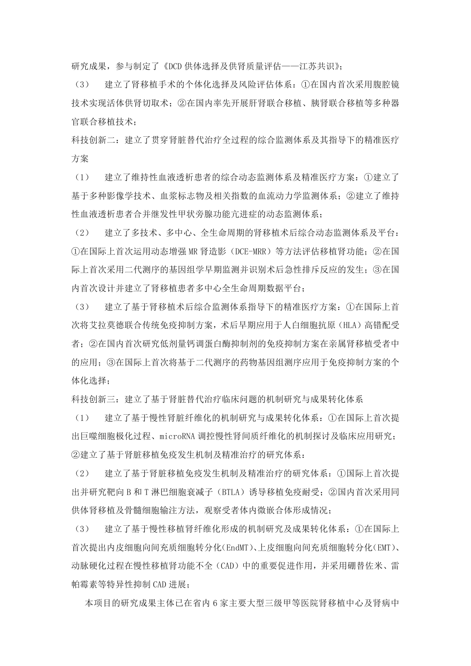研究成果,参与制定了《DCD 供体选择及供肾质量评估——江苏共识》;

(3) 建立了肾移植手术的个体化选择及风险评估体系:①在国内首次采用腹腔镜 技术实现活体供肾切取术;②在国内率先开展肝肾联合移植、胰肾联合移植等多种器 官联合移植技术;

科技创新二:建立了贯穿肾脏替代治疗全过程的综合监测体系及其指导下的精准医疗 方案

(1) 建立了维持性血液透析患者的综合动态监测体系及精准医疗方案:①建立了 基于多种影像学技术、血浆标志物及相关指数的血流动力学监测体系;②建立了维持 性血液透析患者合并继发性甲状旁腺功能亢进症的动态监测体系;

(2) 建立了多技术、多中心、全生命周期的肾移植术后综合动态监测体系及平台: ①在国际上首次运用动态增强 MR 肾造影(DCE-MRR)等方法评估移植肾功能;②在国 际上首次采用二代测序的基因组学早期监测并识别术后急性排斥反应的发生;③在国 内首次设计并建立了肾移植患者多中心全生命周期数据平台;

(3) 建立了基于肾移植术后综合监测体系指导下的精准医疗方案:①在国际上首 次将艾拉莫德联合传统免疫抑制方案,术后早期应用于人白细胞抗原(HLA)高错配受 者;②在国内首次研究低剂量钙调蛋白酶抑制剂的免疫抑制方案在亲属肾移植受者中 的应用;③在国际上首次将基于二代测序的药物基因组测序应用于免疫抑制方案的个 体化选择;

科技创新三:建立了基于肾脏替代治疗临床问题的机制研究与成果转化体系

(1) 建立了基于慢性肾脏纤维化的机制研究与成果转化体系:①在国际上首次提 出巨噬细胞极化过程、microRNA 调控慢性肾间质纤维化的机制探讨及临床应用研究; ②建立了基于肾脏移植免疫发生机制及精准治疗的研究体系:

(2) 建立了基于肾脏移植免疫发生机制及精准治疗的研究体系:①国际上首次提 出并研究靶向 B 和 T 淋巴细胞衰减子(BTLA)诱导移植免疫耐受;②国内首次采用同 供体肾移植及骨髓细胞输注方法,观察受者体内微嵌合体形成情况;

(3) 建立了基于慢性移植肾纤维化形成的机制研究及成果转化体系:①在国际上 首次提出内皮细胞向间充质细胞转分化(EndMT)、上皮细胞向间充质细胞转分化(EMT)、 动脉硬化过程在慢性移植肾功能不全(CAD)中的重要促进作用,并采用硼替佐米、雷 帕霉素等特异性抑制 CAD 进展;

本项目的研究成果主体已在省内 6 家主要大型三级甲等医院肾移植中心及肾病中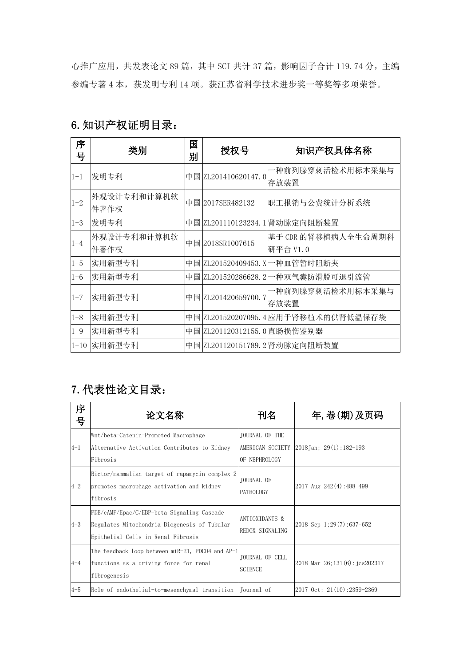心推广应用,共发表论文 89 篇, 其中 SCI 共计 37 篇, 影响因子合计 119.74 分, 主编 参编专著 4 本,获发明专利 14 项。获江苏省科学技术进步奖一等奖等多项荣誉。

| 序<br>뮹     | 类别                  | 国<br>别 | 授权号                         | 知识产权具体名称                             |
|------------|---------------------|--------|-----------------------------|--------------------------------------|
| $1 - 1$    | 发明专利                |        | 中国 ZL201410620147.0         | -种前列腺穿刺活检术用标本采集与<br>存放装置             |
| $1 - 2$    | 外观设计专利和计算机软<br>件著作权 |        | 中国 2017SER482132            | 职工报销与公费统计分析系统                        |
| $ 1-3 $    | 发明专利                |        |                             | 中国 ZL201110123234.1 肾动脉定向阻断装置        |
| $ 1 - 4 $  | 外观设计专利和计算机软<br>件著作权 |        | 中国 2018SR1007615            | 基于 CDR 的肾移植病人全生命周期科<br>研平台 V1.0      |
| $ 1 - 5 $  | 实用新型专利              |        | 中国  ZL201520409453. X       | 一种血管暂时阻断夹                            |
| $1 - 6$    | 实用新型专利              |        | 中国 ZL201520286628.2         | −种双气囊防滑脱可退引流管                        |
| $1 - 7$    | 实用新型专利              |        | 中国 ZL201420659700.7         | -种前列腺穿刺活检术用标本采集与<br>存放装置             |
| $ 1 - 8 $  | 实用新型专利              |        |                             | 中国  ZL201520207095.4 应用于肾移植术的供肾低温保存袋 |
| $1 - 9$    | 实用新型专利              |        | 中国 ZL201120312155.0 直肠损伤鉴别器 |                                      |
| $ 1 - 10 $ | 实用新型专利              |        |                             | 中国 ZL201120151789. 2 肾动脉定向阻断装置       |

### 6.知识产权证明目录:

# 7.代表性论文目录:

| 序<br>号    | 论文名称                                                                                                                             | 刊名                                           | 年,卷(期)及页码                               |
|-----------|----------------------------------------------------------------------------------------------------------------------------------|----------------------------------------------|-----------------------------------------|
| $ 4-1 $   | Wnt/beta-Catenin-Promoted Macrophage<br>Alternative Activation Contributes to Kidney<br>Fibrosis                                 | JOURNAL OF THE<br>OF NEPHROLOGY              | AMERICAN SOCIETY 2018Jan; 29(1):182-193 |
| $ 4-2 $   | Rictor/mammalian target of rapamycin complex 2<br>promotes macrophage activation and kidney<br>fibrosis                          | JOURNAL OF<br><b>PATHOLOGY</b>               | $ 2017 \text{ Aug } 242(4): 488-499$    |
| $ 4-3 $   | PDE/cAMP/Epac/C/EBP-beta Signaling Cascade<br>Regulates Mitochondria Biogenesis of Tubular<br>Epithelial Cells in Renal Fibrosis | <b>ANTIOXIDANTS &amp;</b><br>REDOX SIGNALING | $ 2018 \text{ Sep } 1; 29(7): 637-652$  |
| $ 4 - 4 $ | The feedback loop between miR-21, PDCD4 and AP-1<br>functions as a driving force for renal<br>fibrogenesis                       | JOURNAL OF CELL<br><b>SCIENCE</b>            | $ 2018$ Mar $26:131(6)$ : jcs202317     |
| $4 - 5$   | Role of endothelial-to-mesenchymal transition  Journal of                                                                        |                                              | $ 2017 \text{ Oct}; 21(10):2359-2369$   |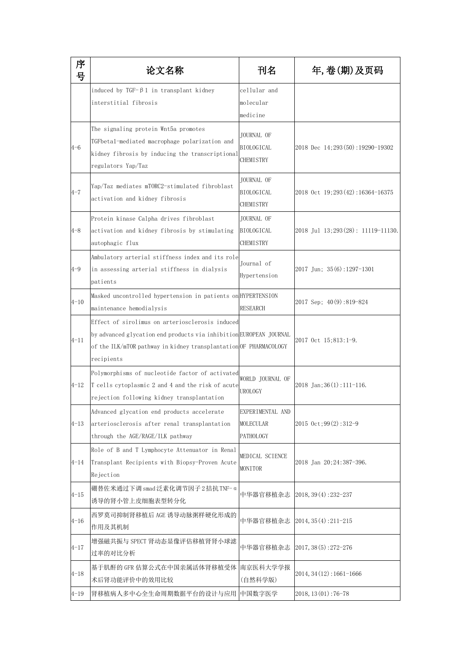| 序<br>号     | 论文名称                                                                                                                                                                                                     | 刊名                                                  | 年,卷(期)及页码                                   |
|------------|----------------------------------------------------------------------------------------------------------------------------------------------------------------------------------------------------------|-----------------------------------------------------|---------------------------------------------|
|            | induced by TGF- $\beta$ 1 in transplant kidney<br>interstitial fibrosis                                                                                                                                  | cellular and<br>molecular<br>medicine               |                                             |
| $4 - 6$    | The signaling protein Wnt5a promotes<br>TGFbetal-mediated macrophage polarization and<br>kidney fibrosis by inducing the transcriptional<br>regulators Yap/Taz                                           | JOURNAL OF<br><b>BIOLOGICAL</b><br><b>CHEMISTRY</b> | 2018 Dec 14;293(50):19290-19302             |
| $4 - 7$    | Yap/Taz mediates mTORC2-stimulated fibroblast<br>activation and kidney fibrosis                                                                                                                          | JOURNAL OF<br>BIOLOGICAL<br>CHEMISTRY               | $ 2018 \text{ Oct } 19;293(42):16364-16375$ |
| $4 - 8$    | Protein kinase Calpha drives fibroblast<br>activation and kidney fibrosis by stimulating<br>autophagic flux                                                                                              | <b>JOURNAL OF</b><br>BIOLOGICAL<br>CHEMISTRY        | $ 2018$ Jul 13; $293(28)$ : 11119-11130.    |
| $ 4-9 $    | Ambulatory arterial stiffness index and its role<br>in assessing arterial stiffness in dialysis<br>patients                                                                                              | Journal of<br>Hypertension                          | 2017 Jun; 35(6):1297-1301                   |
| $4 - 10$   | Masked uncontrolled hypertension in patients on HYPERTENSION<br>maintenance hemodialysis                                                                                                                 | RESEARCH                                            | $ 2017 \text{ Sep}; 40(9):819-824$          |
| $ 4-11 $   | Effect of sirolimus on arteriosclerosis induced<br>by advanced glycation end products via inhibition EUROPEAN JOURNAL<br>of the ILK/mTOR pathway in kidney transplantation OF PHARMACOLOGY<br>recipients |                                                     | 2017 Oct 15;813:1-9.                        |
| $ 4-12 $   | Polymorphisms of nucleotide factor of activated<br>T cells cytoplasmic 2 and 4 and the risk of acute<br>rejection following kidney transplantation                                                       | WORLD JOURNAL OF<br>UROLOGY                         | 2018 Jan; 36(1): 111-116.                   |
| 4-13       | Advanced glycation end products accelerate<br>arteriosclerosis after renal transplantation<br>through the AGE/RAGE/ILK pathway                                                                           | EXPERIMENTAL AND<br>MOLECULAR<br>PATHOLOGY          | $ 2015 \text{ Oct}; 99(2): 312-9$           |
| 4-14       | Role of B and T Lymphocyte Attenuator in Renal<br>Transplant Recipients with Biopsy-Proven Acute<br>Rejection                                                                                            | MEDICAL SCIENCE<br>MONITOR                          | 2018 Jan 20; 24:387-396.                    |
| 4-15       | 硼替佐米通过下调 smad泛素化调节因子2拮抗 TNF-α<br>诱导的肾小管上皮细胞表型转分化                                                                                                                                                         | 中华器官移植杂志                                            | $ 2018, 39(4): 232-237$                     |
| $ 4 - 16 $ | 西罗莫司抑制肾移植后 AGE 诱导动脉粥样硬化形成的<br>作用及其机制                                                                                                                                                                     |                                                     | 中华器官移植杂志  2014,35(4):211-215                |
| $4 - 17$   | 增强磁共振与 SPECT 肾动态显像评估移植肾肾小球滤<br>过率的对比分析                                                                                                                                                                   | 中华器官移植杂志                                            | $2017, 38(5):272-276$                       |
| $4 - 18$   | 基于肌酐的 GFR 估算公式在中国亲属活体肾移植受体<br>术后肾功能评价中的效用比较                                                                                                                                                              | 南京医科大学学报<br>(自然科学版)                                 | $ 2014, 34(12):1661-1666$                   |
| $4 - 19$   | 肾移植病人多中心全生命周期数据平台的设计与应用 中国数字医学                                                                                                                                                                           |                                                     | $2018, 13(01): 76-78$                       |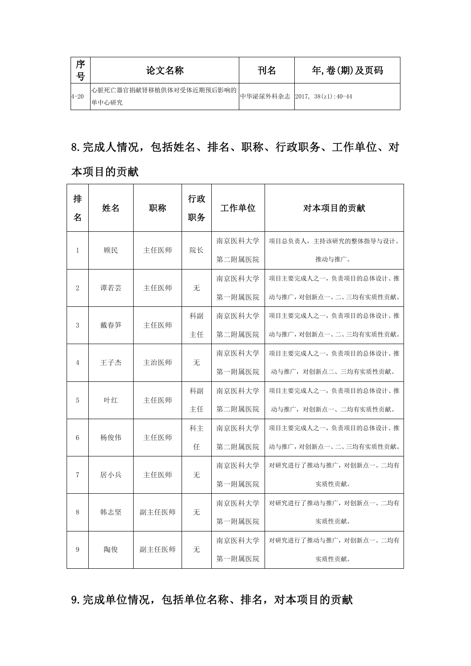| 序<br>号  | 论文名称                               | 刊名 | 年,卷(期)及页码                   |
|---------|------------------------------------|----|-----------------------------|
| $ 4-20$ | 心脏死亡器官捐献肾移植供体对受体近期预后影响的  <br>单中心研究 |    | 中华泌尿外科杂志 2017, 38(z1):40-44 |

## 8.完成人情况,包括姓名、排名、职称、行政职务、工作单位、对

### 本项目的贡献

| 排<br>名         | 姓名  | 职称    | 行政<br>职务 | 工作单位   | 对本项目的贡献                 |
|----------------|-----|-------|----------|--------|-------------------------|
|                |     |       |          | 南京医科大学 | 项目总负责人, 主持该研究的整体指导与设计、  |
| $\mathbf{1}$   | 顾民  | 主任医师  | 院长       | 第二附属医院 | 推动与推广。                  |
|                |     |       | 无        | 南京医科大学 | 项目主要完成人之一,负责项目的总体设计、推   |
| $\sqrt{2}$     | 谭若芸 | 主任医师  |          | 第一附属医院 | 动与推广, 对创新点一、二、三均有实质性贡献。 |
|                |     |       | 科副       | 南京医科大学 | 项目主要完成人之一,负责项目的总体设计、推   |
| 3              | 戴春笋 | 主任医师  | 主任       | 第二附属医院 | 动与推广, 对创新点一、二、三均有实质性贡献。 |
|                |     | 主治医师  |          | 南京医科大学 | 项目主要完成人之一,负责项目的总体设计、推   |
| 4              | 王子杰 |       | 无        | 第一附属医院 | 动与推广, 对创新点二、三均有实质性贡献。   |
| 5              | 叶红  | 主任医师  | 科副       | 南京医科大学 | 项目主要完成人之一,负责项目的总体设计、推   |
|                |     |       | 主任       | 第二附属医院 | 动与推广, 对创新点一、二均有实质性贡献。   |
|                | 杨俊伟 | 主任医师  | 科主       | 南京医科大学 | 项目主要完成人之一,负责项目的总体设计、推   |
| 6              |     |       | 任        | 第二附属医院 | 动与推广, 对创新点一、二、三均有实质性贡献。 |
| $\overline{7}$ | 居小兵 | 主任医师  | 无        | 南京医科大学 | 对研究进行了推动与推广, 对创新点一、二均有  |
|                |     |       |          | 第一附属医院 | 实质性贡献。                  |
|                |     |       |          | 南京医科大学 | 对研究进行了推动与推广, 对创新点一、二均有  |
| 8              | 韩志坚 | 副主任医师 | 无        | 第一附属医院 | 实质性贡献。                  |
|                |     |       |          | 南京医科大学 | 对研究进行了推动与推广, 对创新点一、二均有  |
| 9              | 陶俊  | 副主任医师 | 无        | 第一附属医院 | 实质性贡献。                  |

## 9.完成单位情况,包括单位名称、排名,对本项目的贡献